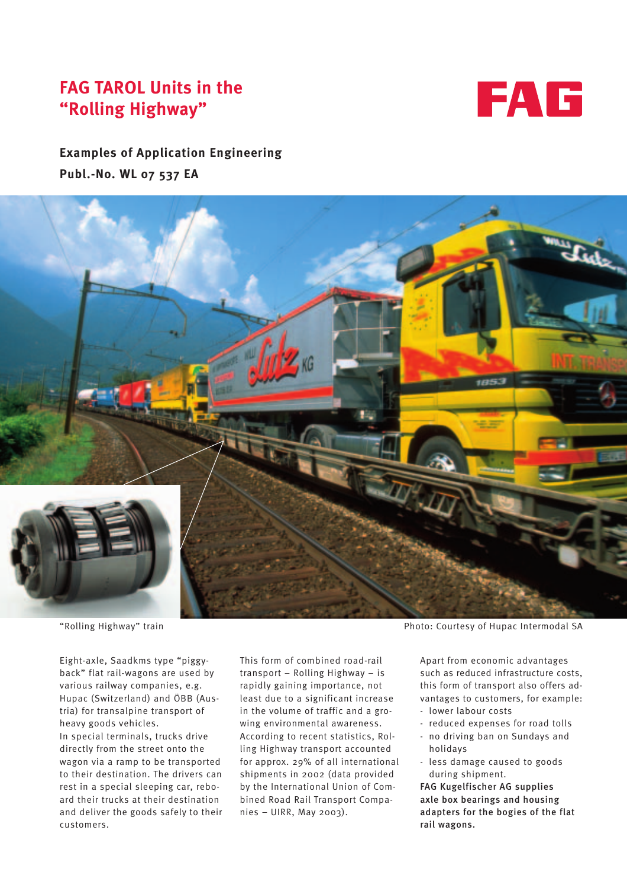# **FAG TAROL Units in the "Rolling Highway"**



## **Examples of Application Engineering Publ.-No. WL 07 537 EA**



Eight-axle, Saadkms type "piggyback" flat rail-wagons are used by various railway companies, e.g. Hupac (Switzerland) and ÖBB (Austria) for transalpine transport of heavy goods vehicles. In special terminals, trucks drive directly from the street onto the wagon via a ramp to be transported to their destination. The drivers can rest in a special sleeping car, reboard their trucks at their destination and deliver the goods safely to their customers.

This form of combined road-rail transport – Rolling Highway – is rapidly gaining importance, not least due to a significant increase in the volume of traffic and a growing environmental awareness. According to recent statistics, Rolling Highway transport accounted for approx. 29% of all international shipments in 2002 (data provided by the International Union of Combined Road Rail Transport Companies – UIRR, May 2003).

"Rolling Highway" train Photo: Courtesy of Hupac Intermodal SA

Apart from economic advantages such as reduced infrastructure costs, this form of transport also offers advantages to customers, for example:

- lower labour costs
- reduced expenses for road tolls
- no driving ban on Sundays and holidays
- less damage caused to goods during shipment.

FAG Kugelfischer AG supplies axle box bearings and housing adapters for the bogies of the flat rail wagons.